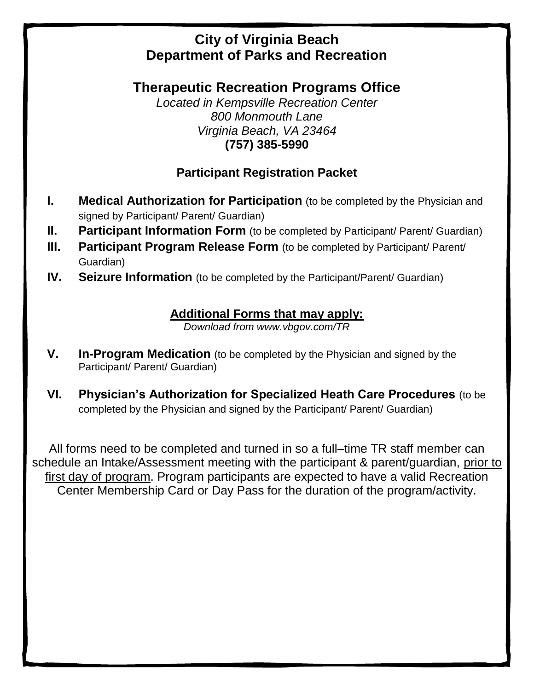# **City of Virginia Beach Department of Parks and Recreation**

**Therapeutic Recreation Programs Office** 

*Located in Kempsville Recreation Center 800 Monmouth Lane Virginia Beach, VA 23464* **(757) 385-5990**

# **Participant Registration Packet**

- **I. Medical Authorization for Participation** (to be completed by the Physician and signed by Participant/ Parent/ Guardian)
- **II. Participant Information Form** (to be completed by Participant/ Parent/ Guardian)
- **III. Participant Program Release Form** (to be completed by Participant/ Parent/ Guardian)
- **IV. Seizure Information** (to be completed by the Participant/Parent/ Guardian)

## **Additional Forms that may apply:**

*Download from www.vbgov.com/TR*

- **V. In-Program Medication** (to be completed by the Physician and signed by the Participant/ Parent/ Guardian)
- **VI. Physician's Authorization for Specialized Heath Care Procedures** (to be completed by the Physician and signed by the Participant/ Parent/ Guardian)

All forms need to be completed and turned in so a full–time TR staff member can schedule an Intake/Assessment meeting with the participant & parent/guardian, prior to first day of program. Program participants are expected to have a valid Recreation Center Membership Card or Day Pass for the duration of the program/activity.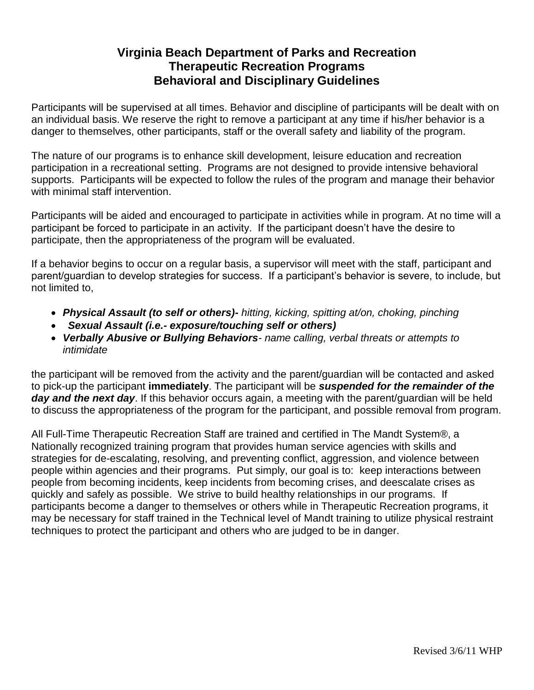### **Virginia Beach Department of Parks and Recreation Therapeutic Recreation Programs Behavioral and Disciplinary Guidelines**

Participants will be supervised at all times. Behavior and discipline of participants will be dealt with on an individual basis. We reserve the right to remove a participant at any time if his/her behavior is a danger to themselves, other participants, staff or the overall safety and liability of the program.

The nature of our programs is to enhance skill development, leisure education and recreation participation in a recreational setting. Programs are not designed to provide intensive behavioral supports. Participants will be expected to follow the rules of the program and manage their behavior with minimal staff intervention.

Participants will be aided and encouraged to participate in activities while in program. At no time will a participant be forced to participate in an activity. If the participant doesn't have the desire to participate, then the appropriateness of the program will be evaluated.

If a behavior begins to occur on a regular basis, a supervisor will meet with the staff, participant and parent/guardian to develop strategies for success. If a participant's behavior is severe, to include, but not limited to,

- *Physical Assault (to self or others)- hitting, kicking, spitting at/on, choking, pinching*
- *Sexual Assault (i.e.- exposure/touching self or others)*
- *Verbally Abusive or Bullying Behaviors- name calling, verbal threats or attempts to intimidate*

the participant will be removed from the activity and the parent/guardian will be contacted and asked to pick-up the participant **immediately**. The participant will be *suspended for the remainder of the day and the next day*. If this behavior occurs again, a meeting with the parent/guardian will be held to discuss the appropriateness of the program for the participant, and possible removal from program.

All Full-Time Therapeutic Recreation Staff are trained and certified in The Mandt System®, a Nationally recognized training program that provides human service agencies with skills and strategies for de-escalating, resolving, and preventing conflict, aggression, and violence between people within agencies and their programs. Put simply, our goal is to: keep interactions between people from becoming incidents, keep incidents from becoming crises, and deescalate crises as quickly and safely as possible. We strive to build healthy relationships in our programs. If participants become a danger to themselves or others while in Therapeutic Recreation programs, it may be necessary for staff trained in the Technical level of Mandt training to utilize physical restraint techniques to protect the participant and others who are judged to be in danger.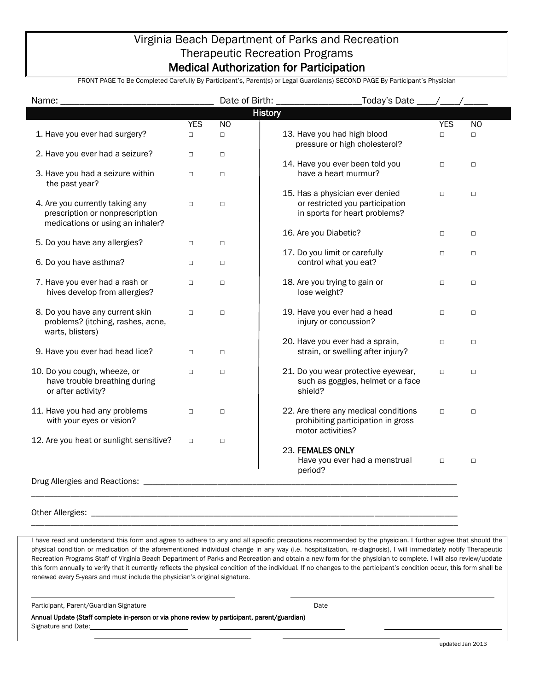### Virginia Beach Department of Parks and Recreation Therapeutic Recreation Programs Medical Authorization for Participation

FRONT PAGE To Be Completed Carefully By Participant's, Parent(s) or Legal Guardian(s) SECOND PAGE By Participant's Physician

| Name:                                                                                                  |            | Date of Birth: | Today's Date                                                                                        |            |           |
|--------------------------------------------------------------------------------------------------------|------------|----------------|-----------------------------------------------------------------------------------------------------|------------|-----------|
|                                                                                                        |            | <b>History</b> |                                                                                                     |            |           |
|                                                                                                        | <b>YES</b> | N <sub>O</sub> |                                                                                                     | <b>YES</b> | <b>NO</b> |
| 1. Have you ever had surgery?                                                                          | $\Box$     | $\Box$         | 13. Have you had high blood<br>pressure or high cholesterol?                                        | $\Box$     | $\Box$    |
| 2. Have you ever had a seizure?                                                                        | $\Box$     | $\Box$         | 14. Have you ever been told you                                                                     | $\Box$     | $\Box$    |
| 3. Have you had a seizure within<br>the past year?                                                     | $\Box$     | $\Box$         | have a heart murmur?                                                                                |            |           |
| 4. Are you currently taking any<br>prescription or nonprescription<br>medications or using an inhaler? | $\Box$     | $\Box$         | 15. Has a physician ever denied<br>or restricted you participation<br>in sports for heart problems? | $\Box$     | $\Box$    |
| 5. Do you have any allergies?                                                                          | $\Box$     | $\Box$         | 16. Are you Diabetic?                                                                               | $\Box$     | $\Box$    |
| 6. Do you have asthma?                                                                                 | $\Box$     | $\Box$         | 17. Do you limit or carefully<br>control what you eat?                                              | $\Box$     | $\Box$    |
| 7. Have you ever had a rash or<br>hives develop from allergies?                                        | $\Box$     | $\Box$         | 18. Are you trying to gain or<br>lose weight?                                                       | $\Box$     | $\Box$    |
| 8. Do you have any current skin<br>problems? (itching, rashes, acne,<br>warts, blisters)               | $\Box$     | $\Box$         | 19. Have you ever had a head<br>injury or concussion?                                               | $\Box$     | $\Box$    |
| 9. Have you ever had head lice?                                                                        | $\Box$     | $\Box$         | 20. Have you ever had a sprain,<br>strain, or swelling after injury?                                | $\Box$     | $\Box$    |
| 10. Do you cough, wheeze, or<br>have trouble breathing during<br>or after activity?                    | $\Box$     | $\Box$         | 21. Do you wear protective eyewear,<br>such as goggles, helmet or a face<br>shield?                 | $\Box$     | $\Box$    |
| 11. Have you had any problems<br>with your eyes or vision?                                             | $\Box$     | $\Box$         | 22. Are there any medical conditions<br>prohibiting participation in gross<br>motor activities?     | $\Box$     | $\Box$    |
| 12. Are you heat or sunlight sensitive?                                                                | $\Box$     | $\Box$         | 23. FEMALES ONLY<br>Have you ever had a menstrual<br>period?                                        | $\Box$     | $\Box$    |
| Drug Allergies and Reactions:                                                                          |            |                |                                                                                                     |            |           |

Other Allergies:

I have read and understand this form and agree to adhere to any and all specific precautions recommended by the physician. I further agree that should the physical condition or medication of the aforementioned individual change in any way (i.e. hospitalization, re-diagnosis), I will immediately notify Therapeutic Recreation Programs Staff of Virginia Beach Department of Parks and Recreation and obtain a new form for the physician to complete. I will also review/update this form annually to verify that it currently reflects the physical condition of the individual. If no changes to the participant's condition occur, this form shall be renewed every 5-years and must include the physician's original signature.

\_\_\_\_\_\_\_\_\_\_\_\_\_\_\_\_\_\_\_\_\_\_\_\_\_\_\_\_\_\_\_\_\_\_\_\_\_\_\_\_\_\_\_\_\_\_\_\_\_\_\_\_\_\_\_\_\_\_\_\_\_\_\_\_\_\_\_\_\_\_\_\_\_\_\_\_\_\_\_\_\_\_\_\_\_\_\_\_\_\_\_\_\_\_\_\_\_\_

\_\_\_\_\_\_\_\_\_\_\_\_\_\_\_\_\_\_\_\_\_\_\_\_\_\_\_\_\_\_\_\_\_\_\_\_\_\_\_\_\_\_\_\_\_\_\_\_\_\_\_\_\_\_\_\_\_\_\_\_\_\_\_\_\_\_\_\_\_\_\_\_\_\_\_\_\_\_\_\_\_\_\_\_\_\_\_\_\_\_\_\_\_\_\_\_\_\_

Participant, Parent/Guardian Signature **Date** Date of Participant, Date Date

Annual Update (Staff complete in-person or via phone review by participant, parent/guardian) Signature and Date: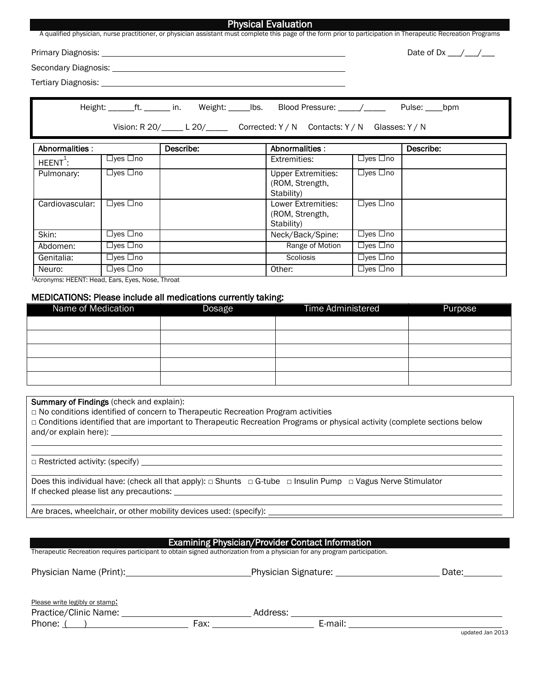|                      |                      |                                                     | Physical Evaluation<br>A qualified physician, nurse practitioner, or physician assistant must complete this page of the form prior to participation in Therapeutic Recreation Programs |                                 |                                                        |
|----------------------|----------------------|-----------------------------------------------------|----------------------------------------------------------------------------------------------------------------------------------------------------------------------------------------|---------------------------------|--------------------------------------------------------|
|                      |                      | Primary Diagnosis: University of Primary Diagnosis: |                                                                                                                                                                                        |                                 | Date of Dx $\_\_\_\_\_\_\_\_\_\_\_\_\_\_\_\_\_\_\_\_\$ |
|                      |                      |                                                     |                                                                                                                                                                                        |                                 |                                                        |
|                      |                      |                                                     |                                                                                                                                                                                        |                                 |                                                        |
|                      |                      |                                                     | Height: ______ft. ______ in. Weight: _____lbs. Blood Pressure: ____/_____<br>Vision: R 20/_____ L 20/_________ Corrected: Y / N Contacts: Y / N Glasses: Y / N                         |                                 | Pulse: _____bpm                                        |
| Abnormalities:       |                      | Describe:                                           | Abnormalities:                                                                                                                                                                         |                                 | Describe:                                              |
| $HEENT^{\ddagger}$ : | $\Box$ yes $\Box$ no |                                                     | Extremities:                                                                                                                                                                           | $\Box$ yes $\Box$ no            |                                                        |
| Pulmonary:           | $\Box$ yes $\Box$ no |                                                     | <b>Upper Extremities:</b><br>(ROM, Strength,<br>Stability)                                                                                                                             | $\Box$ yes $\Box$ no            |                                                        |
| Cardiovascular:      | $\Box$ yes $\Box$ no |                                                     | Lower Extremities:<br>(ROM, Strength,<br>Stability)                                                                                                                                    | $\Box$ yes $\Box$ no            |                                                        |
| Skin:                | $\Box$ yes $\Box$ no |                                                     | Neck/Back/Spine:                                                                                                                                                                       | $\Box$ yes $\Box$ no            |                                                        |
| Abdomen:             | $\Box$ yes $\Box$ no |                                                     | Range of Motion                                                                                                                                                                        | $\Box$ yes $\Box$ no            |                                                        |
| Genitalia:           | $\Box$ yes $\Box$ no |                                                     | Scoliosis                                                                                                                                                                              | $\overline{\Box}$ yes $\Box$ no |                                                        |

<sup>1</sup>Acronyms: HEENT: Head, Ears, Eyes, Nose, Throat

#### MEDICATIONS: Please include all medications currently taking:

| Name of Medication | Dosage | Time Administered | Purpose |
|--------------------|--------|-------------------|---------|
|                    |        |                   |         |
|                    |        |                   |         |
|                    |        |                   |         |
|                    |        |                   |         |
|                    |        |                   |         |

Summary of Findings (check and explain):

□ No conditions identified of concern to Therapeutic Recreation Program activities

Neuro: | □yes □no | 0ther: | □yes □no

□ Conditions identified that are important to Therapeutic Recreation Programs or physical activity (complete sections below and/or explain here):

 $\Box$  Restricted activity: (specify)

Does this individual have: (check all that apply): □ Shunts □ G-tube □ Insulin Pump □ Vagus Nerve Stimulator If checked please list any precautions:

Are braces, wheelchair, or other mobility devices used: (specify):

#### Examining Physician/Provider Contact Information

Therapeutic Recreation requires participant to obtain signed authorization from a physician for any program participation.

| Physician Name (Print): Physician Name (Print): | <b>Physician Signature:</b> |          | Date:   |                          |
|-------------------------------------------------|-----------------------------|----------|---------|--------------------------|
| Please write legibly or stamp:                  |                             |          |         |                          |
| Practice/Clinic Name:                           |                             | Address: |         |                          |
| Phone: (                                        | Fax:                        |          | E-mail: |                          |
|                                                 |                             |          |         | $\overline{\phantom{a}}$ |

updated Jan 2013

Physical Evaluation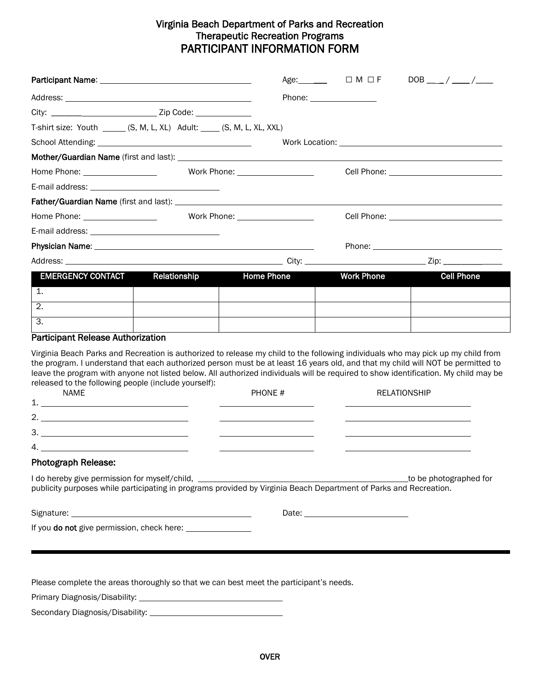#### Virginia Beach Department of Parks and Recreation Therapeutic Recreation Programs PARTICIPANT INFORMATION FORM

|                                                                                                                                                                                                                                                                                                                                                                                                                                                                                                                    |                                 |                          | $DOB$ ___/ ___/___     |
|--------------------------------------------------------------------------------------------------------------------------------------------------------------------------------------------------------------------------------------------------------------------------------------------------------------------------------------------------------------------------------------------------------------------------------------------------------------------------------------------------------------------|---------------------------------|--------------------------|------------------------|
|                                                                                                                                                                                                                                                                                                                                                                                                                                                                                                                    |                                 | Phone: _________________ |                        |
|                                                                                                                                                                                                                                                                                                                                                                                                                                                                                                                    |                                 |                          |                        |
| T-shirt size: Youth ______ (S, M, L, XL) Adult: ____ (S, M, L, XL, XXL)                                                                                                                                                                                                                                                                                                                                                                                                                                            |                                 |                          |                        |
|                                                                                                                                                                                                                                                                                                                                                                                                                                                                                                                    |                                 |                          |                        |
|                                                                                                                                                                                                                                                                                                                                                                                                                                                                                                                    |                                 |                          |                        |
| Home Phone: __________________                                                                                                                                                                                                                                                                                                                                                                                                                                                                                     | Work Phone: ___________________ |                          |                        |
|                                                                                                                                                                                                                                                                                                                                                                                                                                                                                                                    |                                 |                          |                        |
|                                                                                                                                                                                                                                                                                                                                                                                                                                                                                                                    |                                 |                          |                        |
| Work Phone: ___________________                                                                                                                                                                                                                                                                                                                                                                                                                                                                                    |                                 |                          |                        |
|                                                                                                                                                                                                                                                                                                                                                                                                                                                                                                                    |                                 |                          |                        |
|                                                                                                                                                                                                                                                                                                                                                                                                                                                                                                                    |                                 |                          |                        |
|                                                                                                                                                                                                                                                                                                                                                                                                                                                                                                                    |                                 |                          |                        |
| <b>EMERGENCY CONTACT</b><br>Relationship                                                                                                                                                                                                                                                                                                                                                                                                                                                                           | <b>Home Phone</b>               | <b>Work Phone</b>        | <b>Cell Phone</b>      |
| 1.                                                                                                                                                                                                                                                                                                                                                                                                                                                                                                                 |                                 |                          |                        |
| $\overline{2}$ .                                                                                                                                                                                                                                                                                                                                                                                                                                                                                                   |                                 |                          |                        |
| 3.                                                                                                                                                                                                                                                                                                                                                                                                                                                                                                                 |                                 |                          |                        |
| <b>Participant Release Authorization</b>                                                                                                                                                                                                                                                                                                                                                                                                                                                                           |                                 |                          |                        |
| Virginia Beach Parks and Recreation is authorized to release my child to the following individuals who may pick up my child from<br>the program. I understand that each authorized person must be at least 16 years old, and that my child will NOT be permitted to<br>leave the program with anyone not listed below. All authorized individuals will be required to show identification. My child may be<br>released to the following people (include yourself):<br><b>NAME</b><br>$1.$ $\overline{\phantom{a}}$ | PHONE #                         |                          | <b>RELATIONSHIP</b>    |
|                                                                                                                                                                                                                                                                                                                                                                                                                                                                                                                    |                                 |                          |                        |
| $\begin{array}{c}\n3. \begin{array}{c}\n2. \end{array} \\ \hline\n\end{array}$                                                                                                                                                                                                                                                                                                                                                                                                                                     |                                 |                          |                        |
|                                                                                                                                                                                                                                                                                                                                                                                                                                                                                                                    |                                 |                          |                        |
| <b>Photograph Release:</b>                                                                                                                                                                                                                                                                                                                                                                                                                                                                                         |                                 |                          |                        |
| I do hereby give permission for myself/child, __________________________________<br>publicity purposes while participating in programs provided by Virginia Beach Department of Parks and Recreation.                                                                                                                                                                                                                                                                                                              |                                 |                          | to be photographed for |
|                                                                                                                                                                                                                                                                                                                                                                                                                                                                                                                    |                                 |                          |                        |
|                                                                                                                                                                                                                                                                                                                                                                                                                                                                                                                    |                                 |                          |                        |

Please complete the areas thoroughly so that we can best meet the participant's needs.

Primary Diagnosis/Disability:

Secondary Diagnosis/Disability: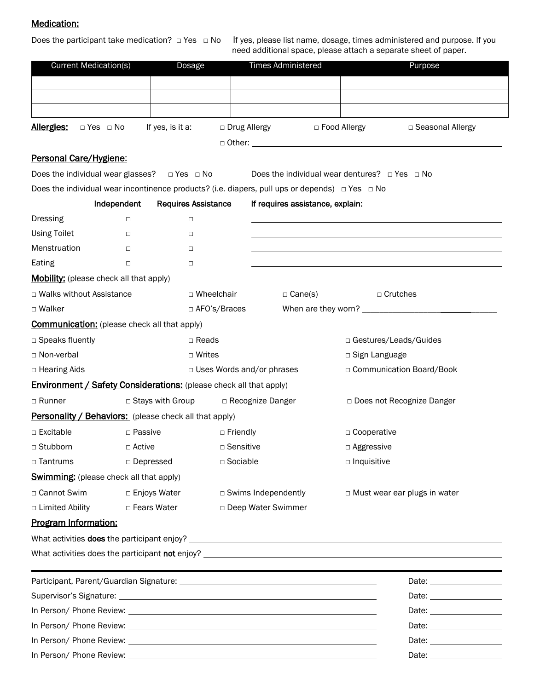#### Medication:

Does the participant take medication? □ Yes □ No If yes, please list name, dosage, times administered and purpose. If you need additional space, please attach a separate sheet of paper.

| <b>Current Medication(s)</b>                                              |                  | Dosage                     |                                  | <b>Times Administered</b>                                                                                | Purpose                                                                                                                                                                                                                        |
|---------------------------------------------------------------------------|------------------|----------------------------|----------------------------------|----------------------------------------------------------------------------------------------------------|--------------------------------------------------------------------------------------------------------------------------------------------------------------------------------------------------------------------------------|
|                                                                           |                  |                            |                                  |                                                                                                          |                                                                                                                                                                                                                                |
|                                                                           |                  |                            |                                  |                                                                                                          |                                                                                                                                                                                                                                |
|                                                                           |                  |                            |                                  |                                                                                                          |                                                                                                                                                                                                                                |
| <u> Allergies:</u><br>$\Box$ Yes $\Box$ No                                |                  | If yes, is it a:           |                                  | □ Drug Allergy Demon De Food Allergy                                                                     | □ Seasonal Allergy                                                                                                                                                                                                             |
|                                                                           |                  |                            |                                  |                                                                                                          |                                                                                                                                                                                                                                |
| Personal Care/Hygiene:                                                    |                  |                            |                                  |                                                                                                          |                                                                                                                                                                                                                                |
| Does the individual wear glasses? $\Box$ Yes $\Box$ No                    |                  |                            |                                  |                                                                                                          | Does the individual wear dentures? $\Box$ Yes $\Box$ No                                                                                                                                                                        |
|                                                                           |                  |                            |                                  | Does the individual wear incontinence products? (i.e. diapers, pull ups or depends) $\Box$ Yes $\Box$ No |                                                                                                                                                                                                                                |
|                                                                           | Independent      | <b>Requires Assistance</b> |                                  | If requires assistance, explain:                                                                         |                                                                                                                                                                                                                                |
| Dressing                                                                  | $\Box$           | $\Box$                     |                                  |                                                                                                          |                                                                                                                                                                                                                                |
| <b>Using Toilet</b>                                                       | $\Box$           | $\Box$                     |                                  |                                                                                                          |                                                                                                                                                                                                                                |
| Menstruation                                                              | $\Box$           | $\Box$                     |                                  |                                                                                                          |                                                                                                                                                                                                                                |
| Eating                                                                    | $\Box$           | $\Box$                     |                                  |                                                                                                          |                                                                                                                                                                                                                                |
| <b>Mobility:</b> (please check all that apply)                            |                  |                            |                                  |                                                                                                          |                                                                                                                                                                                                                                |
| □ Walks without Assistance                                                |                  | □ Wheelchair               |                                  | $\Box$ Cane(s)                                                                                           | □ Crutches                                                                                                                                                                                                                     |
| □ Walker                                                                  |                  |                            | □ AFO's/Braces                   |                                                                                                          |                                                                                                                                                                                                                                |
| <b>Communication:</b> (please check all that apply)                       |                  |                            |                                  |                                                                                                          |                                                                                                                                                                                                                                |
| □ Speaks fluently                                                         |                  | $\Box$ Reads               |                                  |                                                                                                          | □ Gestures/Leads/Guides                                                                                                                                                                                                        |
| □ Non-verbal                                                              |                  | $\Box$ Writes              |                                  |                                                                                                          | $\Box$ Sign Language                                                                                                                                                                                                           |
| □ Hearing Aids                                                            |                  |                            | $\Box$ Uses Words and/or phrases |                                                                                                          | □ Communication Board/Book                                                                                                                                                                                                     |
| <b>Environment / Safety Considerations:</b> (please check all that apply) |                  |                            |                                  |                                                                                                          |                                                                                                                                                                                                                                |
| □ Runner                                                                  |                  | □ Stays with Group         | □ Recognize Danger               |                                                                                                          | □ Does not Recognize Danger                                                                                                                                                                                                    |
| <b>Personality / Behaviors:</b> (please check all that apply)             |                  |                            |                                  |                                                                                                          |                                                                                                                                                                                                                                |
| $\Box$ Excitable                                                          | □ Passive        |                            | □ Friendly                       |                                                                                                          | $\Box$ Cooperative                                                                                                                                                                                                             |
| □ Stubborn                                                                | $\Box$ Active    |                            | $\Box$ Sensitive                 |                                                                                                          | □ Aggressive                                                                                                                                                                                                                   |
| □ Tantrums                                                                | $\Box$ Depressed |                            | $\Box$ Sociable                  |                                                                                                          | $\square$ Inquisitive                                                                                                                                                                                                          |
| <b>Swimming:</b> (please check all that apply)                            |                  |                            |                                  |                                                                                                          |                                                                                                                                                                                                                                |
| □ Cannot Swim                                                             | □ Enjoys Water   |                            |                                  | $\Box$ Swims Independently                                                                               | □ Must wear ear plugs in water                                                                                                                                                                                                 |
| □ Limited Ability                                                         | □ Fears Water    |                            |                                  | □ Deep Water Swimmer                                                                                     |                                                                                                                                                                                                                                |
| Program Information:                                                      |                  |                            |                                  |                                                                                                          |                                                                                                                                                                                                                                |
|                                                                           |                  |                            |                                  |                                                                                                          |                                                                                                                                                                                                                                |
|                                                                           |                  |                            |                                  |                                                                                                          |                                                                                                                                                                                                                                |
|                                                                           |                  |                            |                                  |                                                                                                          | Date: ____________________                                                                                                                                                                                                     |
|                                                                           |                  |                            |                                  |                                                                                                          | Date: the contract of the contract of the contract of the contract of the contract of the contract of the contract of the contract of the contract of the contract of the contract of the contract of the contract of the cont |
|                                                                           |                  |                            |                                  |                                                                                                          |                                                                                                                                                                                                                                |
|                                                                           |                  |                            |                                  |                                                                                                          |                                                                                                                                                                                                                                |
|                                                                           |                  |                            |                                  |                                                                                                          | Date: ___________________                                                                                                                                                                                                      |
|                                                                           |                  |                            |                                  |                                                                                                          |                                                                                                                                                                                                                                |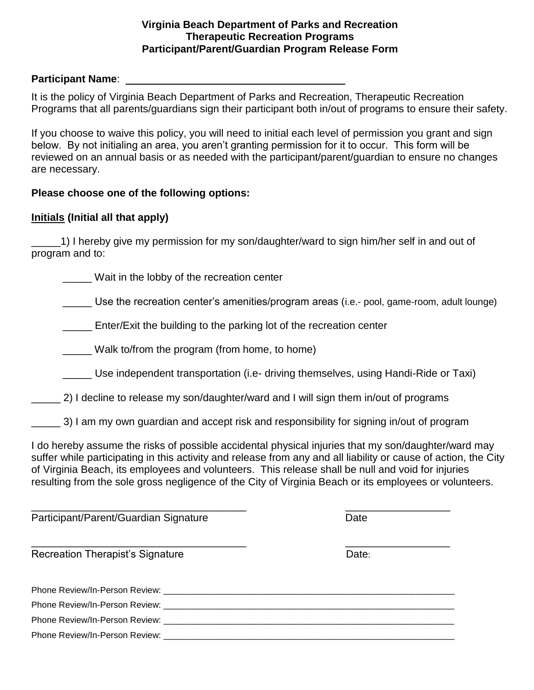#### **Virginia Beach Department of Parks and Recreation Therapeutic Recreation Programs Participant/Parent/Guardian Program Release Form**

#### **Participant Name**:

It is the policy of Virginia Beach Department of Parks and Recreation, Therapeutic Recreation Programs that all parents/guardians sign their participant both in/out of programs to ensure their safety.

If you choose to waive this policy, you will need to initial each level of permission you grant and sign below. By not initialing an area, you aren't granting permission for it to occur. This form will be reviewed on an annual basis or as needed with the participant/parent/guardian to ensure no changes are necessary.

### **Please choose one of the following options:**

### **Initials (Initial all that apply)**

\_\_\_\_\_1) I hereby give my permission for my son/daughter/ward to sign him/her self in and out of program and to:

\_\_\_\_\_ Wait in the lobby of the recreation center

Use the recreation center's amenities/program areas (i.e.- pool, game-room, adult lounge)

**Enter/Exit the building to the parking lot of the recreation center** 

\_\_\_\_\_ Walk to/from the program (from home, to home)

\_\_\_\_\_ Use independent transportation (i.e- driving themselves, using Handi-Ride or Taxi)

2) I decline to release my son/daughter/ward and I will sign them in/out of programs

3) I am my own guardian and accept risk and responsibility for signing in/out of program

I do hereby assume the risks of possible accidental physical injuries that my son/daughter/ward may suffer while participating in this activity and release from any and all liability or cause of action, the City of Virginia Beach, its employees and volunteers. This release shall be null and void for injuries resulting from the sole gross negligence of the City of Virginia Beach or its employees or volunteers.

| Participant/Parent/Guardian Signature                                                                                                                                                                                          | Date  |  |  |
|--------------------------------------------------------------------------------------------------------------------------------------------------------------------------------------------------------------------------------|-------|--|--|
| <b>Recreation Therapist's Signature</b>                                                                                                                                                                                        | Date: |  |  |
| Phone Review/In-Person Review: Network and the Contract of the Contract of the Contract of the Contract of the                                                                                                                 |       |  |  |
| Phone Review/In-Person Review: Newsletter and the series of the series of the series of the series of the series of the series of the series of the series of the series of the series of the series of the series of the seri |       |  |  |
| Phone Review/In-Person Review: Newsletter and the control of the control of the control of the control of the control of the control of the control of the control of the control of the control of the control of the control |       |  |  |
|                                                                                                                                                                                                                                |       |  |  |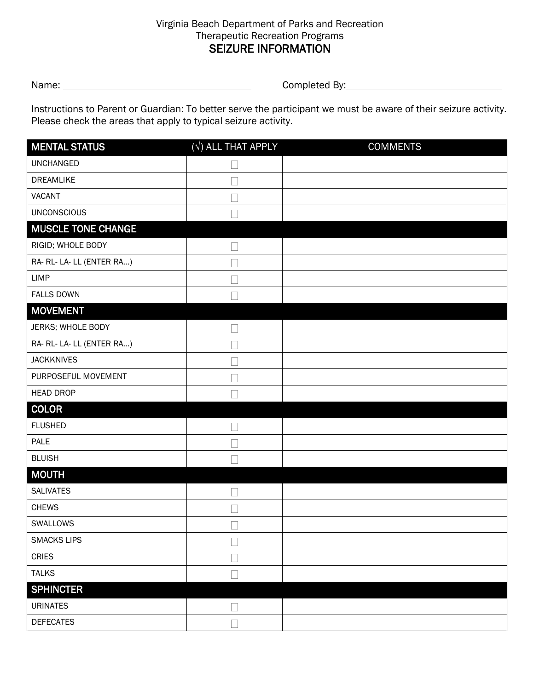#### Virginia Beach Department of Parks and Recreation Therapeutic Recreation Programs SEIZURE INFORMATION

name: Completed By: example of the Completed By:

Instructions to Parent or Guardian: To better serve the participant we must be aware of their seizure activity. Please check the areas that apply to typical seizure activity.

| <b>MENTAL STATUS</b>      | $(\sqrt{})$ ALL THAT APPLY | <b>COMMENTS</b> |
|---------------------------|----------------------------|-----------------|
| <b>UNCHANGED</b>          |                            |                 |
| DREAMLIKE                 |                            |                 |
| <b>VACANT</b>             |                            |                 |
| <b>UNCONSCIOUS</b>        |                            |                 |
| <b>MUSCLE TONE CHANGE</b> |                            |                 |
| RIGID; WHOLE BODY         |                            |                 |
| RA- RL- LA- LL (ENTER RA) |                            |                 |
| <b>LIMP</b>               |                            |                 |
| <b>FALLS DOWN</b>         |                            |                 |
| <b>MOVEMENT</b>           |                            |                 |
| JERKS; WHOLE BODY         |                            |                 |
| RA- RL- LA- LL (ENTER RA) |                            |                 |
| <b>JACKKNIVES</b>         |                            |                 |
| PURPOSEFUL MOVEMENT       |                            |                 |
| <b>HEAD DROP</b>          |                            |                 |
| <b>COLOR</b>              |                            |                 |
| <b>FLUSHED</b>            |                            |                 |
| PALE                      |                            |                 |
| <b>BLUISH</b>             |                            |                 |
| <b>MOUTH</b>              |                            |                 |
| <b>SALIVATES</b>          |                            |                 |
| <b>CHEWS</b>              |                            |                 |
| SWALLOWS                  |                            |                 |
| <b>SMACKS LIPS</b>        |                            |                 |
| <b>CRIES</b>              |                            |                 |
| <b>TALKS</b>              |                            |                 |
| <b>SPHINCTER</b>          |                            |                 |
| <b>URINATES</b>           |                            |                 |
| <b>DEFECATES</b>          |                            |                 |